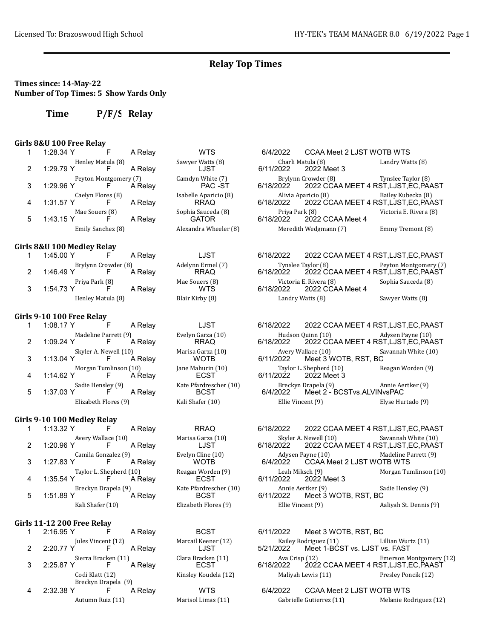### Times since: 14-May-22 Number of Top Times: 5 Show Yards Only

Time P/F/S Relay

#### Girls 8&U 100 Free Relay

|   | 1:28.34 Y   | F                          | A Relay | <b>WTS</b>                           | 6/4/2022  | CCAA Meet 2 LJST WOTB WTS          |                                                             |
|---|-------------|----------------------------|---------|--------------------------------------|-----------|------------------------------------|-------------------------------------------------------------|
|   |             | Henley Matula (8)          |         | Sawyer Watts (8)                     |           | Charli Matula (8)                  | Landry Watts (8)                                            |
|   | 1:29.79 Y   | F.                         | A Relay | LJST                                 | 6/11/2022 | 2022 Meet 3                        |                                                             |
| 3 | 1:29.96 Y   | Peyton Montgomery (7)<br>F | A Relay | Camdyn White (7)<br>PAC -ST          | 6/18/2022 | Brylynn Crowder (8)                | Tynslee Taylor (8)<br>2022 CCAA MEET 4 RST, LJST, EC, PAAST |
| 4 | 1:31.57 Y   | Caelyn Flores (8)<br>F.    | A Relay | Isabelle Aparicio (8)<br><b>RRAQ</b> | 6/18/2022 | Alivia Aparicio (8)                | Bailey Kubecka (8)<br>2022 CCAA MEET 4 RST, LJST, EC, PAAST |
| 5 | $1:43.15$ Y | Mae Souers (8)<br>F        | A Relay | Sophia Sauceda (8)<br><b>GATOR</b>   | 6/18/2022 | Priya Park (8)<br>2022 CCAA Meet 4 | Victoria E. Rivera (8)                                      |
|   |             | Emily Sanchez (8)          |         | Alexandra Wheeler (8)                |           | Meredith Wedgmann (7)              | Emmy Tremont (8)                                            |
|   |             |                            |         |                                      |           |                                    |                                                             |

#### Girls 8&U 100 Medley Relay

| 1:45.00 Y   |                     | A Relav | LJST              | 6/18/2022 |                        | 2022 CCAA MEET 4 RST.LJST.EC.PAAST |
|-------------|---------------------|---------|-------------------|-----------|------------------------|------------------------------------|
|             | Brylynn Crowder (8) |         | Adelynn Ermel (7) |           | Tynslee Taylor (8)     | Peyton Montgomery (7)              |
| $1:46.49$ Y |                     | A Relav | <b>RRAQ</b>       | 6/18/2022 |                        | 2022 CCAA MEET 4 RST.LJST.EC.PAAST |
|             | Priya Park (8)      |         | Mae Souers (8)    |           | Victoria E. Rivera (8) | Sophia Sauceda (8)                 |
| 1:54.73 Y   |                     | A Relav | <b>WTS</b>        | 6/18/2022 | 2022 CCAA Meet 4       |                                    |
|             | Henley Matula (8)   |         | Blair Kirby (8)   |           | Landry Watts (8)       | Sawyer Watts (8)                   |

#### Girls 9-10 100 Free Relay

|                | 1:08.17 Y | F                     | A Relav | LJST                   | 6/18/2022 | 2022 CCAA MEET 4 RST    |                |
|----------------|-----------|-----------------------|---------|------------------------|-----------|-------------------------|----------------|
|                |           | Madeline Parrett (9)  |         | Evelyn Garza (10)      |           | Hudson Quinn (10)       | A <sub>0</sub> |
| $\mathcal{P}$  | 1:09.24 Y | F                     | A Relav | RRAQ                   | 6/18/2022 | 2022 CCAA MEET 4 RST    |                |
|                |           | Skyler A. Newell (10) |         | Marisa Garza (10)      |           | Avery Wallace (10)      | -Sa            |
|                | 1:13.04 Y | $\mathsf{F}$          | A Relav | <b>WOTB</b>            | 6/11/2022 | Meet 3 WOTB, RST, BC    |                |
|                |           | Morgan Tumlinson (10) |         | Jane Mahurin (10)      |           | Taylor L. Shepherd (10) | $R_0$          |
| $\overline{4}$ | 1:14.62 Y | F.                    | A Relav | <b>ECST</b>            | 6/11/2022 | 2022 Meet 3             |                |
|                |           | Sadie Hensley (9)     |         | Kate Pfardrescher (10) |           | Breckyn Drapela (9)     | A <sub>1</sub> |
| 5              | 1:37.03 Y | F.                    | A Relav | <b>BCST</b>            | 6/4/2022  | Meet 2 - BCSTvs.ALVINv  |                |
|                |           | Elizabeth Flores (9)  |         | Kali Shafer (10)       |           | Ellie Vincent (9)       | El             |
|                |           |                       |         |                        |           |                         |                |

#### Girls 9-10 100 Medley Relay

|   | 1:13.32 Y |                         | A Relay |
|---|-----------|-------------------------|---------|
|   |           | Avery Wallace (10)      |         |
| 2 | 1:20.96 Y |                         | A Relay |
|   |           | Camila Gonzalez (9)     |         |
| 3 | 1:27.83 Y |                         | A Relav |
|   |           | Taylor L. Shepherd (10) |         |
|   | 1:35.54 Y |                         | A Relay |
|   |           | Breckyn Drapela (9)     |         |
| 5 | 1:51.89 Y |                         | A Relay |
|   |           | Kali Shafer (10)        |         |
|   |           |                         |         |

#### Girls 11-12 200 Free Relay

|               | 2:16.95 Y |                           | A Relay |
|---------------|-----------|---------------------------|---------|
|               |           | Jules Vincent (12)        |         |
| $\mathcal{P}$ | 2:20.77 Y | F.                        | A Relay |
|               |           | Sierra Bracken (11)       |         |
| 3             | 2:25.87 Y | F.                        | A Relay |
|               |           | Codi Klatt (12)           |         |
|               |           | Breckyn Drapela (9)       |         |
| 4             | 2:32.38 Y | F.                        | A Relay |
|               |           | $\lambda$ utumn Duig (11) |         |

Evelyn Garza (10) RRAQ Marisa Garza (10) WARD WAREN WOTE Jane Mahurin (10) ECST Kate Pfardrescher (10)<br>BCST

# IT 4 RST,LJST,EC,PAAST Sophia Sauceda (8) Victoria E. Rivera E. Rivera E. Rivera E. Rivera E. Rivera E. Rivera E. Rivera E. Rivera E. Rivera E. Rivera E. Rivera E. Rivera E. Rivera E. Rivera E. Rivera E. Rivera E. Rivera E. Rivera E. Rivera E. R Sawyer Watts (8)

|    | 1:08.17 Y |                             | A Relay | LJST                                  | 6/18/2022 |                                                   | 2022 CCAA MEET 4 RST, LJST, EC, PAAST                      |
|----|-----------|-----------------------------|---------|---------------------------------------|-----------|---------------------------------------------------|------------------------------------------------------------|
|    | 1:09.24 Y | Madeline Parrett (9)        | A Relav | Evelyn Garza (10)<br><b>RRAQ</b>      | 6/18/2022 | Hudson Quinn (10)                                 | Adysen Payne (10)<br>2022 CCAA MEET 4 RST, LJST, EC, PAAST |
| 3  | 1:13.04 Y | Skyler A. Newell (10)<br>F. | A Relav | Marisa Garza (10)<br><b>WOTB</b>      | 6/11/2022 | Avery Wallace (10)<br>Meet 3 WOTB, RST, BC        | Savannah White (10)                                        |
|    | 1:14.62 Y | Morgan Tumlinson (10)<br>F  | A Relav | Jane Mahurin (10)<br><b>ECST</b>      | 6/11/2022 | Taylor L. Shepherd (10)<br>2022 Meet 3            | Reagan Worden (9)                                          |
| 5. | 1:37.03 Y | Sadie Hensley (9)           | A Relav | Kate Pfardrescher (10)<br><b>BCST</b> | 6/4/2022  | Breckyn Drapela (9)<br>Meet 2 - BCSTvs.ALVINvsPAC | Annie Aertker (9)                                          |
|    |           | Elizabeth Flores (9)        |         | Kali Shafer (10)                      |           | Ellie Vincent (9)                                 | Elyse Hurtado (9)                                          |

RRAQ 6/18/2022 2022 CCAA MEET 4 RST,LJST,EC,PAAST Marisa Garza (10) Skyler A. Newell (10) Savannah White (10)<br>LJST 6/18/2022 2022 CCAA MEET 4 RST.LJST.EC.PAAS 2022 CCAA MEET 4 RST,LJST,EC,PAAST Camila Gonzalez (9) Evelyn Cline (10) Adysen Payne (10) Madeline Parrett (9) CCAA Meet 2 LJST WOTB WTS Taylor Leah Miksch (9) Leah Miksch (9) Morgan Tumlinson (10) Leah Miksch (9) Morgan Tumlinson (10) 2022 Meet 3 Kate Pfardrescher (10) Annie Aertker (9) Sadie Hensley (9)<br>BCST 6/11/2022 Meet 3 WOTB, RST, BC  $BCST$  6/11/2022 Meet 3 WOTB, RST, BC Kali Shahren (10) Ellie Vincent (9) Aaliyah St. Dennis (9) Aaliyah St. Dennis (9)

BCST 6/11/2022 Meet 3 WOTB, RST, BC Marcail Keener (12) Mailey Rodriguez (11) Lillian Wurtz (11)<br>LJST 6/21/2022 Meet 1-BCST vs. LJST vs. FAST LJST 5/21/2022 Meet 1-BCST vs. LJST vs. FAST Clara Bracken (11) <br>ECST 6/18/2022 2022 CCAA MEET 4 RST,LJST,EC,PAAST 2022 CCAA MEET 4 RST,LJST,EC, PAAST Kinsley Koudela (12) Maliyah Lewis (11) Presley Poncik (12)

WTS 6/4/2022 CCAA Meet 2 LJST WOTB WTS Autumn Ruiz (11) Marisol Limas (11) Gabrielle Gutierrez (11) Melanie Rodriguez (12)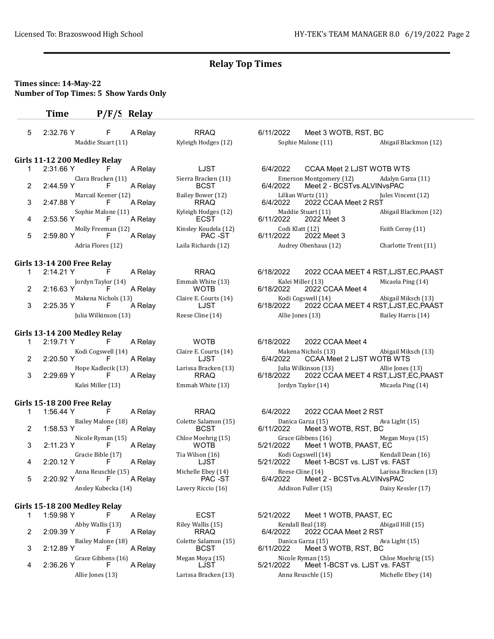RRAQ 6/11/2022 Meet 3 WOTB, RST, BC

# Times since: 14-May-22 Number of Top Times: 5 Show Yards Only

# Time P/F/S Relay

| -5 | 2:32.76 Y | F                  | A Relay |
|----|-----------|--------------------|---------|
|    |           | Maddie Stuart (11) |         |

#### Girls 11-12 200 Medley Relay

| 1      | 2:31.66 Y | F                   | A Relay | LJST                 | 6/4/2022  | CCAA Meet 2 LJST WOT    |                |
|--------|-----------|---------------------|---------|----------------------|-----------|-------------------------|----------------|
|        |           | Clara Bracken (11)  |         | Sierra Bracken (11)  |           | Emerson Montgomery (12) | A              |
| $^{2}$ | 2:44.59 Y | F.                  | A Relay | <b>BCST</b>          | 6/4/2022  | Meet 2 - BCSTvs.ALVINv  |                |
|        |           | Marcail Keener (12) |         | Bailey Bower (12)    |           | Lillian Wurtz (11)      | Ju             |
| 3      | 2:47.88 Y | F.                  | A Relav | <b>RRAQ</b>          | 6/4/2022  | 2022 CCAA Meet 2 RST    |                |
|        |           | Sophie Malone (11)  |         | Kyleigh Hodges (12)  |           | Maddie Stuart (11)      | A              |
| 4      | 2:53.56 Y | F.                  | A Relav | <b>ECST</b>          | 6/11/2022 | 2022 Meet 3             |                |
|        |           | Molly Freeman (12)  |         | Kinsley Koudela (12) |           | Codi Klatt (12)         | F <sub>z</sub> |
| 5.     | 2:59.80 Y | $F_{\perp}$         | A Relav | PAC -ST              | 6/11/2022 | 2022 Meet 3             |                |
|        |           | Adria Flores (12)   |         | Laila Richards (12)  |           | Audrey Obenhaus (12)    | Cl             |

#### Girls 13-14 200 Free Relay

| 2:14.21 Y   | $-F$                 | A Relav | <b>RRAQ</b>           | 6/18/2022 | 2022 CCAA MEET 4           |
|-------------|----------------------|---------|-----------------------|-----------|----------------------------|
|             | Jordyn Taylor (14)   |         | Emmah White (13)      |           | Kalei Miller (13)          |
| 2 2:16.63 Y | F                    | A Relav | <b>WOTB</b>           |           | 6/18/2022 2022 CCAA Meet 4 |
|             | Makena Nichols (13)  |         | Claire E. Courts (14) |           | Kodi Cogswell (14)         |
| 2:25.35 Y   | $\mathsf{F}$         | A Relav | LJST                  | 6/18/2022 | 2022 CCAA MEET 4           |
|             | Julia Wilkinson (13) |         | Reese Cline (14)      |           | Allie Jones (13)           |

#### Girls 13-14 200 Medley Relay

|   | $2:19.71$ Y | F.                 | A Relay |
|---|-------------|--------------------|---------|
|   |             | Kodi Cogswell (14) |         |
| 2 | 2:20.50 Y   |                    | A Relay |
|   |             | Hope Kadlecik (13) |         |
| 3 | $2:29.69$ Y | $\vdash$           | A Relay |
|   |             | Kalei Miller (13)  |         |

# Girls 15-18 200 Free Relay

|   | 1:56.44 Y | ۲                   | A Relay | <b>RRAQ</b>          | 6/4/2022  | 2022 CCAA Meet 2 RST     |    |
|---|-----------|---------------------|---------|----------------------|-----------|--------------------------|----|
|   |           | Bailey Malone (18)  |         | Colette Salamon (15) |           | Danica Garza (15)        | A  |
|   | 1:58.53 Y | F.                  | A Relav | <b>BCST</b>          | 6/11/2022 | Meet 3 WOTB, RST, BC     |    |
|   |           | Nicole Ryman (15)   |         | Chloe Moehrig (15)   |           | Grace Gibbens (16)       | M  |
| 3 | 2:11.23 Y | F.                  | A Relav | <b>WOTB</b>          | 5/21/2022 | Meet 1 WOTB, PAAST, E    |    |
|   |           | Gracie Bible (17)   |         | Tia Wilson (16)      |           | Kodi Cogswell (14)       | Kθ |
|   | 2:20.12 Y | F.                  | A Relav | LJST                 | 5/21/2022 | Meet 1-BCST vs. LJST vs. |    |
|   |           | Anna Reuschle (15)  |         | Michelle Ebey (14)   |           | Reese Cline (14)         | La |
| 5 | 2:20.92 Y | F                   | A Relav | PAC -ST              | 6/4/2022  | Meet 2 - BCSTvs.ALVINv   |    |
|   |           | Ansley Kubecka (14) |         | Lavery Riccio (16)   |           | Addison Fuller (15)      | D: |
|   |           |                     |         |                      |           |                          |    |

# Girls 15-18 200 Medley Relay

|   | 1:59.98 Y |                    | A Relay |
|---|-----------|--------------------|---------|
|   |           | Abby Wallis (13)   |         |
| 2 | 2:09.39 Y |                    | A Relay |
|   |           | Bailey Malone (18) |         |
| 3 | 2:12.89 Y |                    | A Relay |
|   |           | Grace Gibbens (16) |         |
|   | 2:36.26 Y |                    | A Relay |
|   |           | Allie Jones (13)   |         |
|   |           |                    |         |

| LJST                            |
|---------------------------------|
| Sierra Bracken (11)<br>BCST     |
| Bailey Bower (12)<br>RRAQ       |
| Kyleigh Hodges (12)<br>FCST     |
| Kinsley Koudela (12)<br>PAC -ST |
| Laila Dicharde (12)             |

|  | Maddie Stuart (11)       |                    |                   |                                    |                    |                                                       |                   | Kyleigh Hodges (12) |  | Sophie Malone (11) | Abigail Blackmon (12) |
|--|--------------------------|--------------------|-------------------|------------------------------------|--------------------|-------------------------------------------------------|-------------------|---------------------|--|--------------------|-----------------------|
|  | s 11-12 200 Medley Relay |                    |                   |                                    |                    |                                                       |                   |                     |  |                    |                       |
|  | 2:31.66 Y                |                    | A Relav           | LJST                               | 6/4/2022           | CCAA Meet 2 LJST WOTB WTS                             |                   |                     |  |                    |                       |
|  | 2:44.59 Y                | Clara Bracken (11) | A Relav           | Sierra Bracken (11)<br><b>BCST</b> | 6/4/2022           | Emerson Montgomery (12)<br>Meet 2 - BCSTvs.ALVINvsPAC | Adalyn Garza (11) |                     |  |                    |                       |
|  | Marcail Keener (12)      |                    | Bailey Bower (12) |                                    | Lillian Wurtz (11) | Jules Vincent (12)                                    |                   |                     |  |                    |                       |

|                    |         | _ _ _ _ _ _ _ _ . _ _ _ |           |                      |                       |
|--------------------|---------|-------------------------|-----------|----------------------|-----------------------|
|                    | A Relav | <b>RRAQ</b>             | 6/4/2022  | 2022 CCAA Meet 2 RST |                       |
| Sophie Malone (11) |         | Kyleigh Hodges (12)     |           | Maddie Stuart (11)   | Abigail Blackmon (12) |
|                    | A Relav | <b>FCST</b>             | 6/11/2022 | 2022 Meet 3          |                       |
| Molly Freeman (12) |         | Kinsley Koudela (12)    |           | Codi Klatt (12)      | Faith Cerny (11)      |
|                    | A Relav | PAC -ST                 | 6/11/2022 | 2022 Meet 3          |                       |
| Adria Flores (12)  |         | Laila Richards (12)     |           | Audrey Obenhaus (12) | Charlotte Trent (11)  |

| $2:14.21$ Y          |  | A Relav | <b>RRAQ</b>           | 6/18/2022 |                    | 2022 CCAA MEET 4 RST,LJST,EC,PAAST |
|----------------------|--|---------|-----------------------|-----------|--------------------|------------------------------------|
| Jordyn Taylor (14)   |  |         | Emmah White (13)      |           | Kalei Miller (13)  | Micaela Ping (14)                  |
| 2       2:16.63 Y    |  | A Relav | <b>WOTB</b>           | 6/18/2022 | 2022 CCAA Meet 4   |                                    |
| Makena Nichols (13)  |  |         | Claire E. Courts (14) |           | Kodi Cogswell (14) | Abigail Miksch (13)                |
| $2:25.35$ Y          |  | A Relav | LJST                  | 6/18/2022 |                    | 2022 CCAA MEET 4 RST.LJST.EC.PAAST |
| Julia Wilkinson (13) |  |         | Reese Cline (14)      |           | Allie Jones (13)   | Bailey Harris (14)                 |
|                      |  |         |                       |           |                    |                                    |

WOTB 6/18/2022 2022 CCAA Meet 4 Claire E. Courts (14) Makena Nichols (13) Abigail Miksch (13)<br>LJST 6/4/2022 CCAA Meet 2 LJST WOTB WTS LJST 6/4/2022 CCAA Meet 2 LJST WOTB WTS Larissa Bracken (13) [13] Julia Wilkinson (13) [13] Allie Jones (13) RRAQ 6/18/2022 2022 CCAA MEET 4 RST, LJST, EC, F 2022 CCAA MEET 4 RST,LJST,EC,PAAST Emmah White (13) Jordyn Taylor (14) Micaela Ping (14)

|    |           |                          | A Relay | <b>RRAQ</b>                         | 6/4/2022  | 2022 CCAA Meet 2 RST                                |                      |
|----|-----------|--------------------------|---------|-------------------------------------|-----------|-----------------------------------------------------|----------------------|
|    | 1:58.53 Y | Bailey Malone (18)<br>F. | A Relav | Colette Salamon (15)<br><b>BCST</b> | 6/11/2022 | Danica Garza (15)<br>Meet 3 WOTB, RST, BC           | Ava Light (15)       |
| 3. | 2:11.23 Y | Nicole Ryman (15)<br>F.  | A Relay | Chloe Moehrig (15)<br><b>WOTB</b>   | 5/21/2022 | Grace Gibbens (16)<br>Meet 1 WOTB, PAAST, EC        | Megan Moya (15)      |
| 4  | 2:20.12 Y | Gracie Bible (17)<br>F   | A Relav | Tia Wilson (16)<br>LJST             | 5/21/2022 | Kodi Cogswell (14)<br>Meet 1-BCST vs. LJST vs. FAST | Kendall Dean (16)    |
| 5. | 2:20.92 Y | Anna Reuschle (15)<br>F. | A Relav | Michelle Ebey (14)<br>PAC -ST       | 6/4/2022  | Reese Cline (14)<br>Meet 2 - BCSTvs.ALVINvsPAC      | Larissa Bracken (13) |
|    |           | Ansley Kubecka (14)      |         | Lavery Riccio (16)                  |           | Addison Fuller (15)                                 | Daisy Kessler (17)   |

ECST 5/21/2022 Meet 1 WOTB, PAAST, EC Riley Wallis (15) <br>RRAQ 6/4/2022 2022 CCAA Meet 2 RST RRAQ 6/4/2022 2022 CCAA Meet 2 RST Colette Salamon (15) Danica Garza (15) Ava Light (15)<br>BCST 6/11/2022 Meet 3 WOTB, RST, BC  $\overline{3}$  BCST  $\overline{6}$ /11/2022 Meet 3 WOTB, RST, BC Grace Gibbens (16) Megan Moya (15) Nicole Ryman (15) Chloe Moehrig (15) Meet 1-BCST vs. LJST vs. FAST Allie Jones (13) Larissa Bracken (13) Anna Reuschle (15) Michelle Ebey (14)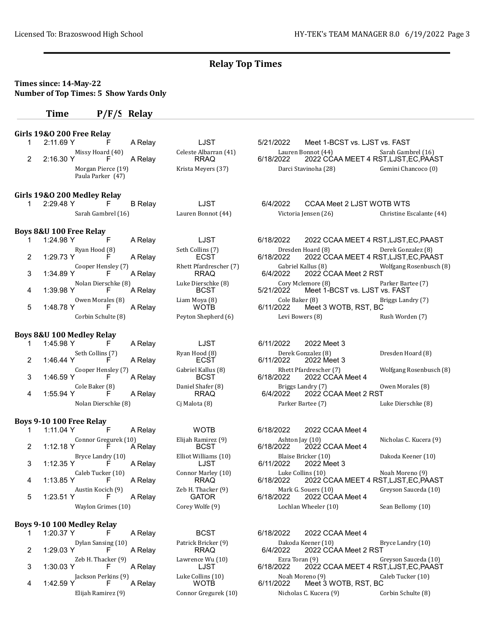#### Times since: 14-May-22 Number of Top Times: 5 Show Yards Only

#### Time P/F/S Relay

#### Girls 19&O 200 Free Relay

| 2:11.69 Y          |                   | A Relay          | LJST             |
|--------------------|-------------------|------------------|------------------|
|                    | Missy Hoard (40)  |                  | Celeste Albarran |
| 2:16.30 Y          |                   | A Relay          | <b>RRAQ</b>      |
| Morgan Pierce (19) |                   | Krista Meyers (3 |                  |
|                    | Paula Parker (47) |                  |                  |

#### Girls 19&O 200 Medley Relay

| 2:29.48 Y |                    | <b>B</b> Relay | LJST          |
|-----------|--------------------|----------------|---------------|
|           | Sarah Gambrel (16) |                | Lauren Bonnot |

#### Boys 8&U 100 Free Relay

|   | 1:24.98 Y          |                     | A Relay |  |  |  |  |  |
|---|--------------------|---------------------|---------|--|--|--|--|--|
|   |                    | Ryan Hood (8)       |         |  |  |  |  |  |
| 2 | 1:29.73 Y          |                     | A Relay |  |  |  |  |  |
|   |                    | Cooper Hensley (7)  |         |  |  |  |  |  |
| 3 | 1:34.89 Y          |                     | A Relay |  |  |  |  |  |
|   |                    | Nolan Dierschke (8) |         |  |  |  |  |  |
| 4 | 1:39.98 Y          |                     | A Relay |  |  |  |  |  |
|   |                    | Owen Morales (8)    |         |  |  |  |  |  |
| 5 | 1:48.78 Y          |                     | A Relay |  |  |  |  |  |
|   | Corbin Schulte (8) |                     |         |  |  |  |  |  |
|   |                    |                     |         |  |  |  |  |  |

#### Boys 8&U 100 Medley Relay

|   | 1:45.98 Y                   | F                       | A Relay | LJST                              | 6/11/2022 | 2022 Meet 3                           |
|---|-----------------------------|-------------------------|---------|-----------------------------------|-----------|---------------------------------------|
|   | 1:46.44 Y                   | Seth Collins (7)<br>F   | A Relav | Ryan Hood (8)<br><b>ECST</b>      | 6/11/2022 | Derek Gonzalez (8)<br>2022 Meet 3     |
|   | 1:46.59 Y                   | Cooper Hensley (7)<br>E | A Relav | Gabriel Kallus (8)<br><b>BCST</b> | 6/18/2022 | Rhett Pfardrescher (7)<br>2022 CCAA I |
| 4 | Cole Baker (8)<br>1:55.94 Y | F                       | A Relay | Daniel Shafer (8)<br><b>RRAQ</b>  | 6/4/2022  | Briggs Landry (7)<br>2022 CCAA I      |
|   | Nolan Dierschke (8)         |                         |         | Ci Malota (8)                     |           | Parker Bartee (7)                     |

#### Boys 9-10 100 Free Relay

|   | 1:11.04 Y            |    | A Relay | <b>WOTB</b>          | 6/18/2022 | 2022 CCAA Meet 4     |
|---|----------------------|----|---------|----------------------|-----------|----------------------|
|   | Connor Gregurek (10) |    |         | Elijah Ramirez (9)   |           | Ashton Jay (10)      |
|   | $1:12.18$ Y          | F  | A Relav | <b>BCST</b>          | 6/18/2022 | 2022 CCAA Meet 4     |
|   | Bryce Landry (10)    |    |         | Elliot Williams (10) |           | Blaise Bricker (10)  |
| 3 | 1:12.35 Y            | F  | A Relav | LJST                 | 6/11/2022 | 2022 Meet 3          |
|   | Caleb Tucker (10)    |    |         | Connor Marley (10)   |           | Luke Collins (10)    |
| 4 | 1:13.85 Y            | F. | A Relav | <b>RRAQ</b>          | 6/18/2022 | 2022 CCAA MEET 4     |
|   | Austin Kocich (9)    |    |         | Zeb H. Thacker (9)   |           | Mark G. Souers (10)  |
| 5 | 1:23.51 Y            | F. | A Relav | <b>GATOR</b>         | 6/18/2022 | 2022 CCAA Meet 4     |
|   | Waylon Grimes (10)   |    |         | Corey Wolfe (9)      |           | Lochlan Wheeler (10) |
|   |                      |    |         |                      |           |                      |

#### Boys 9-10 100 Medley Relay

|               | 1:20.37 Y | F.                  | A Relay |
|---------------|-----------|---------------------|---------|
|               |           | Dylan Sansing (10)  |         |
| $\mathcal{P}$ | 1:29.03 Y | F.                  | A Relay |
|               |           | Zeb H. Thacker (9)  |         |
| $\mathbf{3}$  | 1:30.03 Y | <b>H</b>            | A Relay |
|               |           | Jackson Perkins (9) |         |
|               | 1:42.59 Y | F.                  | A Relay |
|               |           | Fliiah Ramirez (9)  |         |

LJST 5/21/2022 Meet 1-BCST vs. LJST vs. FAST 1 (41) Lauren Bonnot (44) Sarah Gambrel (16)<br>6/18/2022 COAA MEET 4 RST, LJST, EC, PAA 2022 CCAA MEET 4 RST,LJST,EC,PAAST Morgan Pierce (19) Carci Stavinoha (28) Gemini Chancoco (0)

6/4/2022 CCAA Meet 2 LJST WOTB WTS (44) Victoria Jensen (26) Christine Escalante (44)

LJST 6/18/2022 2022 CCAA MEET 4 RST,LJST,EC,PAAST Ryan Hood (8) Dresden Hoard (8) Derek Gonzalez (8)<br>ECST 6/18/2022 2022 CCAA MEET 4 RST, LJST, EC, PAA 2022 CCAA MEET 4 RST,LJST,EC,PAAST Rhett Pfardrescher (7) Gabriel Kallus (8) Wolfgang Rosenbusch (8)<br>RRAQ 6/4/2022 2022 CCAA Meet 2 RST 2022 CCAA Meet 2 RST Luke Dierschke (8)  $\begin{array}{ccc}\n & \text{Cory Melemore (8)} \\
\text{BCST} & \text{BCST} \\
\end{array}$  Parker Bartee (7) Meet 1-BCST vs. LJST vs. FAST Liam Moya (8) Cole Baker (8) Briggs Landry (7) Briggs Landry (7) Briggs Landry (7) Meet 3 WOTB, RST, BC Peyton Shepherd (6) Levi Bowers (8) Rush Worden (7)

Ryan Hood (8) Derek Gonzalez (8) Dresden Hoard (8)<br>ECST 6/11/2022 2022 Meet 3 Gabriel Kallus (8) **Example 19 Reft Aread**rescher (7) Wolfgang Rosenbusch (8) Rhett Pfardrescher (7) Wolfgang Rosenbusch (8) 2022 CCAA Meet 4 Daniel Shafer (8) Briggs Landry (7) Owen Morales (8)<br>RRAQ 6/4/2022 2022 CCAA Meet 2 RST 2022 CCAA Meet 2 RST Cj Malota (8) Parker Bartee (7) Luke Dierschke (8)

|   | $1:11.04$ Y                                    |                         | A Relay | <b>WOTB</b>                        | 6/18/2022 | 2022 CCAA Meet 4                        |                                                          |
|---|------------------------------------------------|-------------------------|---------|------------------------------------|-----------|-----------------------------------------|----------------------------------------------------------|
|   | Connor Gregurek (10)<br>$1:12.18$ Y<br>A Relav |                         |         | Elijah Ramirez (9)<br><b>BCST</b>  | 6/18/2022 | Ashton Jay (10)<br>2022 CCAA Meet 4     | Nicholas C. Kucera (9)                                   |
| 3 | $1:12.35$ Y                                    | Bryce Landry (10)<br>E  | A Relav | Elliot Williams (10)<br>LJST       | 6/11/2022 | Blaise Bricker (10)<br>2022 Meet 3      | Dakoda Keener (10)                                       |
| 4 | $1:13.85$ Y                                    | Caleb Tucker (10)       | A Relav | Connor Marley (10)<br><b>RRAQ</b>  | 6/18/2022 | Luke Collins (10)                       | Noah Moreno (9)<br>2022 CCAA MEET 4 RST, LJST, EC, PAAST |
| 5 | 1:23.51 Y                                      | Austin Kocich (9)<br>ь. | A Relav | Zeb H. Thacker (9)<br><b>GATOR</b> | 6/18/2022 | Mark G. Souers (10)<br>2022 CCAA Meet 4 | Greyson Sauceda (10)                                     |
|   | Waylon Grimes (10)                             |                         |         | Corey Wolfe (9)                    |           | Lochlan Wheeler (10)                    | Sean Bellomy (10)                                        |

BCST 6/18/2022 2022 CCAA Meet 4 Patrick Bricker (9) Dakoda Keener (10) Bryce Landry (10)<br>RRAQ 6/4/2022 2022 CCAA Meet 2 RST 2022 CCAA Meet 2 RST Lawrence Wu (10) <br>LJST 6/18/2022 2022 CCAA MEET 4 RST.LJST.EC.PAAST 2022 CCAA MEET 4 RST,LJST,EC,PAAST Jackson Perkins (9) Luke Collins (10) Noah Moreno (9) Caleb Tucker (10) Meet 3 WOTB, RST, BC Elijah Ramirez (9) Connor Gregurek (10) Nicholas C. Kucera (9) Corbin Schulte (8)